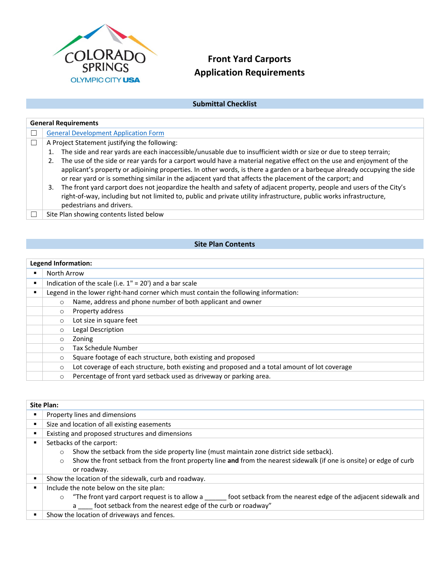

# **Front Yard Carports Application Requirements**

## **Submittal Checklist**

| <b>General Requirements</b>                                                                                                                                                                                                                                                                                                                                   |  |  |  |  |
|---------------------------------------------------------------------------------------------------------------------------------------------------------------------------------------------------------------------------------------------------------------------------------------------------------------------------------------------------------------|--|--|--|--|
| <b>General Development Application Form</b>                                                                                                                                                                                                                                                                                                                   |  |  |  |  |
| A Project Statement justifying the following:                                                                                                                                                                                                                                                                                                                 |  |  |  |  |
| The side and rear yards are each inaccessible/unusable due to insufficient width or size or due to steep terrain;                                                                                                                                                                                                                                             |  |  |  |  |
| The use of the side or rear yards for a carport would have a material negative effect on the use and enjoyment of the<br>applicant's property or adjoining properties. In other words, is there a garden or a barbeque already occupying the side<br>or rear yard or is something similar in the adjacent yard that affects the placement of the carport; and |  |  |  |  |
| The front yard carport does not jeopardize the health and safety of adjacent property, people and users of the City's<br>3.<br>right-of-way, including but not limited to, public and private utility infrastructure, public works infrastructure,<br>pedestrians and drivers.                                                                                |  |  |  |  |
| Site Plan showing contents listed below                                                                                                                                                                                                                                                                                                                       |  |  |  |  |

## **Site Plan Contents**

### **Legend Information:**

| North Arrow                                                                         |                                                                                               |  |  |
|-------------------------------------------------------------------------------------|-----------------------------------------------------------------------------------------------|--|--|
| Indication of the scale (i.e. $1'' = 20'$ ) and a bar scale                         |                                                                                               |  |  |
| Legend in the lower right-hand corner which must contain the following information: |                                                                                               |  |  |
| $\circ$                                                                             | Name, address and phone number of both applicant and owner                                    |  |  |
| $\circ$                                                                             | Property address                                                                              |  |  |
| $\circ$                                                                             | Lot size in square feet                                                                       |  |  |
| $\circ$                                                                             | Legal Description                                                                             |  |  |
| $\circ$                                                                             | Zoning                                                                                        |  |  |
| $\circ$                                                                             | Tax Schedule Number                                                                           |  |  |
| $\circ$                                                                             | Square footage of each structure, both existing and proposed                                  |  |  |
| $\circ$                                                                             | Lot coverage of each structure, both existing and proposed and a total amount of lot coverage |  |  |
| $\circ$                                                                             | Percentage of front yard setback used as driveway or parking area.                            |  |  |

| <b>Site Plan:</b> |                                                                                                                                 |  |  |
|-------------------|---------------------------------------------------------------------------------------------------------------------------------|--|--|
| п                 | Property lines and dimensions                                                                                                   |  |  |
| п                 | Size and location of all existing easements                                                                                     |  |  |
| п                 | Existing and proposed structures and dimensions                                                                                 |  |  |
| п                 | Setbacks of the carport:                                                                                                        |  |  |
|                   | Show the setback from the side property line (must maintain zone district side setback).<br>$\circ$                             |  |  |
|                   | Show the front setback from the front property line and from the nearest sidewalk (if one is onsite) or edge of curb<br>$\circ$ |  |  |
|                   | or roadway.                                                                                                                     |  |  |
| в                 | Show the location of the sidewalk, curb and roadway.                                                                            |  |  |
| в                 | Include the note below on the site plan:                                                                                        |  |  |
|                   | "The front yard carport request is to allow a foot setback from the nearest edge of the adjacent sidewalk and<br>$\circ$        |  |  |
|                   | a foot setback from the nearest edge of the curb or roadway"                                                                    |  |  |
|                   | Show the location of driveways and fences.                                                                                      |  |  |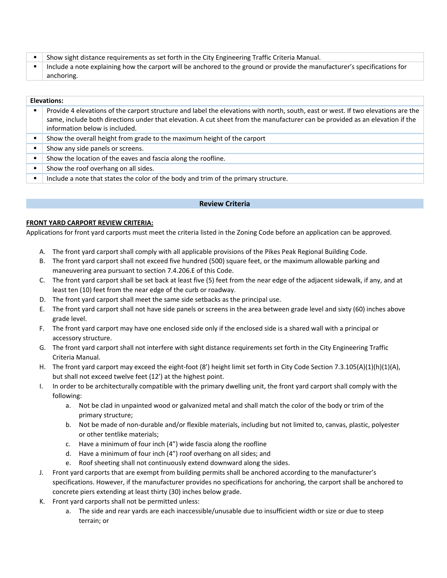| Show sight distance requirements as set forth in the City Engineering Traffic Criteria Manual.                            |
|---------------------------------------------------------------------------------------------------------------------------|
| Include a note explaining how the carport will be anchored to the ground or provide the manufacturer's specifications for |
| anchoring.                                                                                                                |

#### Elevations:

| п | Provide 4 elevations of the carport structure and label the elevations with north, south, east or west. If two elevations are the<br>same, include both directions under that elevation. A cut sheet from the manufacturer can be provided as an elevation if the<br>information below is included. |
|---|-----------------------------------------------------------------------------------------------------------------------------------------------------------------------------------------------------------------------------------------------------------------------------------------------------|
| п | Show the overall height from grade to the maximum height of the carport                                                                                                                                                                                                                             |
| ٠ | Show any side panels or screens.                                                                                                                                                                                                                                                                    |
| ٠ | Show the location of the eaves and fascia along the roofline.                                                                                                                                                                                                                                       |
| ٠ | Show the roof overhang on all sides.                                                                                                                                                                                                                                                                |
|   | $\mathbf{r}$ , and $\mathbf{r}$ , and $\mathbf{r}$ , and $\mathbf{r}$ , and $\mathbf{r}$ , and $\mathbf{r}$ , and $\mathbf{r}$                                                                                                                                                                      |

Include a note that states the color of the body and trim of the primary structure.

#### **Review Criteria**

#### **FRONT YARD CARPORT REVIEW CRITERIA:**

Applications for front yard carports must meet the criteria listed in the Zoning Code before an application can be approved.

- A. The front yard carport shall comply with all applicable provisions of the Pikes Peak Regional Building Code.
- B. The front yard carport shall not exceed five hundred (500) square feet, or the maximum allowable parking and maneuvering area pursuant to section 7.4.206.E of this Code.
- C. The front yard carport shall be set back at least five (5) feet from the near edge of the adjacent sidewalk, if any, and at least ten (10) feet from the near edge of the curb or roadway.
- D. The front yard carport shall meet the same side setbacks as the principal use.
- E. The front yard carport shall not have side panels or screens in the area between grade level and sixty (60) inches above grade level.
- F. The front yard carport may have one enclosed side only if the enclosed side is a shared wall with a principal or accessory structure.
- G. The front yard carport shall not interfere with sight distance requirements set forth in the City Engineering Traffic Criteria Manual.
- H. The front yard carport may exceed the eight-foot (8') height limit set forth in City Code Section 7.3.105(A)(1)(h)(1)(A), but shall not exceed twelve feet (12') at the highest point.
- I. In order to be architecturally compatible with the primary dwelling unit, the front yard carport shall comply with the following:
	- a. Not be clad in unpainted wood or galvanized metal and shall match the color of the body or trim of the primary structure;
	- b. Not be made of non‐durable and/or flexible materials, including but not limited to, canvas, plastic, polyester or other tentlike materials;
	- c. Have a minimum of four inch (4") wide fascia along the roofline
	- d. Have a minimum of four inch (4") roof overhang on all sides; and
	- e. Roof sheeting shall not continuously extend downward along the sides.
- J. Front yard carports that are exempt from building permits shall be anchored according to the manufacturer's specifications. However, if the manufacturer provides no specifications for anchoring, the carport shall be anchored to concrete piers extending at least thirty (30) inches below grade.
- K. Front yard carports shall not be permitted unless:
	- a. The side and rear yards are each inaccessible/unusable due to insufficient width or size or due to steep terrain; or